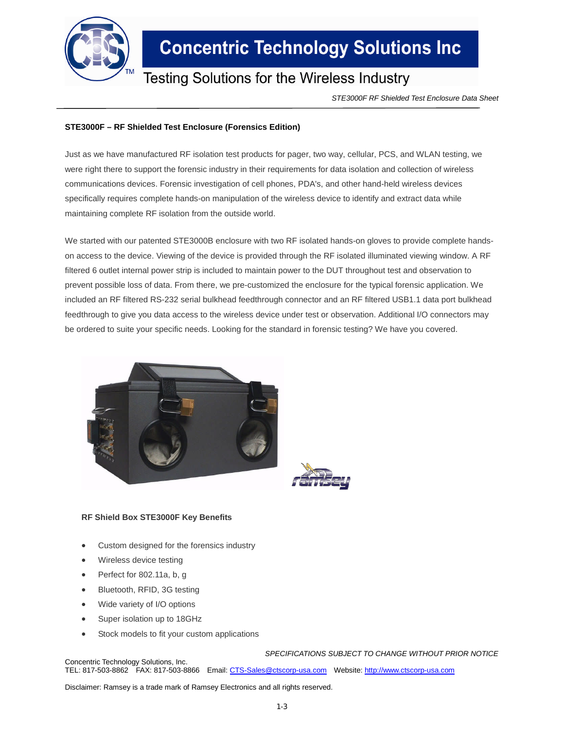

## **Concentric Technology Solutions Inc**

### Testing Solutions for the Wireless Industry

*STE3000F RF Shielded Test Enclosure Data Sheet*

### **STE3000F – RF Shielded Test Enclosure (Forensics Edition)**

Just as we have manufactured RF isolation test products for pager, two way, cellular, PCS, and WLAN testing, we were right there to support the forensic industry in their requirements for data isolation and collection of wireless communications devices. Forensic investigation of cell phones, PDA's, and other hand-held wireless devices specifically requires complete hands-on manipulation of the wireless device to identify and extract data while maintaining complete RF isolation from the outside world.

We started with our patented STE3000B enclosure with two RF isolated hands-on gloves to provide complete handson access to the device. Viewing of the device is provided through the RF isolated illuminated viewing window. A RF filtered 6 outlet internal power strip is included to maintain power to the DUT throughout test and observation to prevent possible loss of data. From there, we pre-customized the enclosure for the typical forensic application. We included an RF filtered RS-232 serial bulkhead feedthrough connector and an RF filtered USB1.1 data port bulkhead feedthrough to give you data access to the wireless device under test or observation. Additional I/O connectors may be ordered to suite your specific needs. Looking for the standard in forensic testing? We have you covered.



#### **RF Shield Box STE3000F Key Benefits**

- Custom designed for the forensics industry
- Wireless device testing
- Perfect for 802.11a, b, g
- Bluetooth, RFID, 3G testing
- Wide variety of I/O options
- Super isolation up to 18GHz
- Stock models to fit your custom applications

*SPECIFICATIONS SUBJECT TO CHANGE WITHOUT PRIOR NOTICE* Concentric Technology Solutions, Inc.

TEL: 817-503-8862 FAX: 817-503-8866 Email: CTS-Sales@ctscorp-usa.com Website: http://www.ctscorp-usa.com

Disclaimer: Ramsey is a trade mark of Ramsey Electronics and all rights reserved.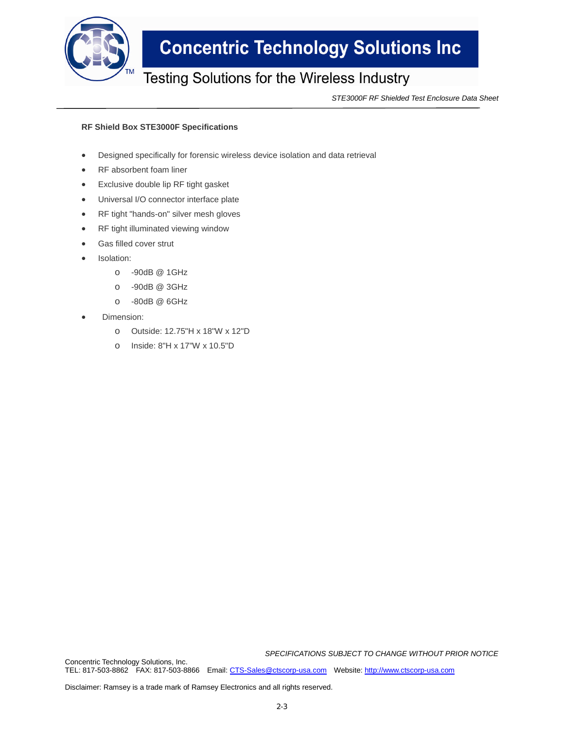

## **Concentric Technology Solutions Inc**

### Testing Solutions for the Wireless Industry

*STE3000F RF Shielded Test Enclosure Data Sheet*

#### **RF Shield Box STE3000F Specifications**

- Designed specifically for forensic wireless device isolation and data retrieval
- RF absorbent foam liner
- Exclusive double lip RF tight gasket
- Universal I/O connector interface plate
- RF tight "hands-on" silver mesh gloves
- RF tight illuminated viewing window
- Gas filled cover strut
- Isolation:
	- o -90dB @ 1GHz
	- o -90dB @ 3GHz
	- o -80dB @ 6GHz
- Dimension:
	- o Outside: 12.75"H x 18"W x 12"D
	- o Inside: 8"H x 17"W x 10.5"D

*SPECIFICATIONS SUBJECT TO CHANGE WITHOUT PRIOR NOTICE*

Concentric Technology Solutions, Inc. TEL: 817-503-8862 FAX: 817-503-8866 Email: CTS-Sales@ctscorp-usa.com Website: http://www.ctscorp-usa.com

Disclaimer: Ramsey is a trade mark of Ramsey Electronics and all rights reserved.